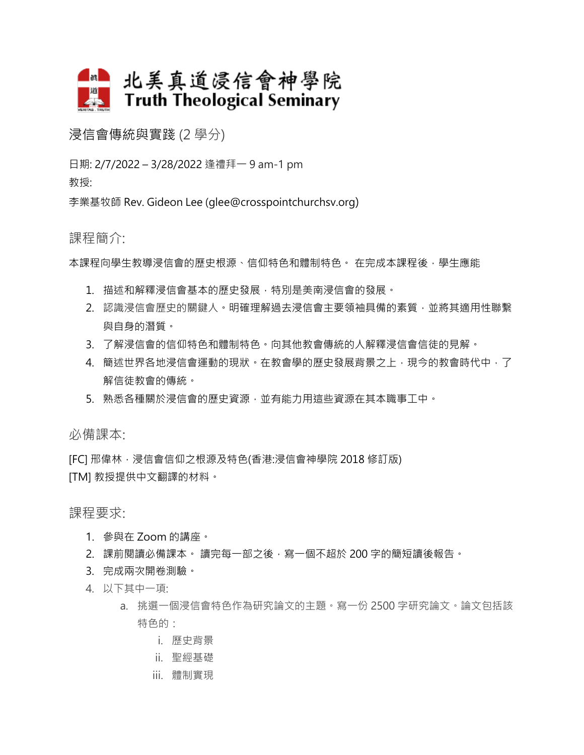

浸信會傳統與實踐 (2 學分)

日期: 2/7/2022 – 3/28/2022 逢禮拜一 9 am-1 pm 教授:

李業基牧師 Rev. Gideon Lee (glee@crosspointchurchsv.org)

## 課程簡介:

本課程向學生教導浸信會的歷史根源、信仰特色和體制特色。在完成本課程後,學生應能

- 1. 描述和解釋浸信會基本的歷史發展,特別是美南浸信會的發展。
- 2. 認識浸信會歷史的關鍵人。明確理解過去浸信會主要領袖具備的素質,並將其適用性聯繫 與自身的潛質。
- 3. 了解浸信會的信仰特色和體制特色。向其他教會傳統的人解釋浸信會信徒的見解。
- 4. 簡述世界各地浸信會運動的現狀。在教會學的歷史發展背景之上,現今的教會時代中,了 解信徒教會的傳統。
- 5. 熟悉各種關於浸信會的歷史資源,並有能力用這些資源在其本職事工中。

必備課本:

[FC] 邢偉林,浸信會信仰之根源及特色(香港:浸信會神學院 2018 修訂版) [TM] 教授提供中文翻譯的材料。

課程要求:

- 1. 參與在 Zoom 的講座。
- 2. 課前閱讀必備課本。 讀完每一部之後,寫一個不超於 200 字的簡短讀後報告。
- 3. 完成兩次開卷測驗。
- 4. 以下其中一項:
	- a. 挑選一個浸信會特色作為硏究論文的主題。寫一份 2500 字研究論文。論文包括該 特色的:
		- i. 歷史背景
		- ii. 聖經基礎
		- iii. 體制實現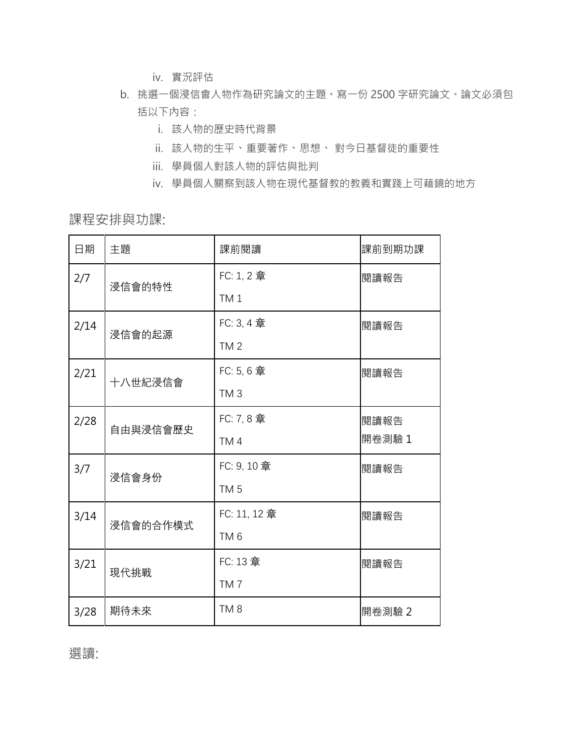- iv. 實況評估
- b. 挑選一個浸信會人物作為硏究論文的主題。寫一份 2500 字研究論文。論文必須包 括以下內容:
	- i. 該人物的歷史時代背景
	- ii. 該人物的生平、重要著作、思想、 對今日基督徒的重要性
	- iii. 學員個人對該人物的評估與批判
	- iv. 學員個人關察到該人物在現代基督教的教義和實踐上可藉鏡的地方

課程安排與功課:

| 日期   | 主題       | 課前閱讀            | 課前到期功課 |
|------|----------|-----------------|--------|
| 2/7  | 浸信會的特性   | FC: 1, 2 章      | 閱讀報告   |
|      |          | TM <sub>1</sub> |        |
| 2/14 | 浸信會的起源   | FC: 3, 4 章      | 閱讀報告   |
|      |          | TM <sub>2</sub> |        |
| 2/21 | 十八世紀浸信會  | FC: 5, 6 章      | 閱讀報告   |
|      |          | TM <sub>3</sub> |        |
| 2/28 | 自由與浸信會歷史 | FC: 7, 8 章      | 閱讀報告   |
|      |          | TM4             | 開卷測驗 1 |
| 3/7  | 浸信會身份    | FC: 9, 10 章     | 閱讀報告   |
|      |          | TM <sub>5</sub> |        |
| 3/14 | 浸信會的合作模式 | FC: 11, 12 章    | 閱讀報告   |
|      |          | TM <sub>6</sub> |        |
| 3/21 | 現代挑戰     | FC: 13 章        | 閱讀報告   |
|      |          | TM <sub>7</sub> |        |
| 3/28 | 期待未來     | TM <sub>8</sub> | 開卷測驗 2 |

選讀: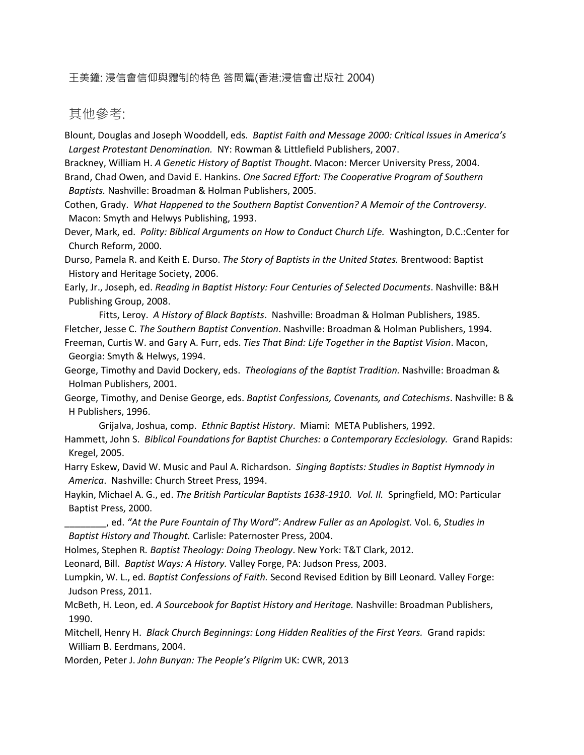## 王美鐘: 浸信會信仰與體制的特色 答問篇(香港:浸信會出版社 2004)

## 其他參考:

Blount, Douglas and Joseph Wooddell, eds. *Baptist Faith and Message 2000: Critical Issues in America's Largest Protestant Denomination.* NY: Rowman & Littlefield Publishers, 2007.

Brackney, William H. *A Genetic History of Baptist Thought*. Macon: Mercer University Press, 2004. Brand, Chad Owen, and David E. Hankins. *One Sacred Effort: The Cooperative Program of Southern Baptists.* Nashville: Broadman & Holman Publishers, 2005.

Cothen, Grady. *What Happened to the Southern Baptist Convention? A Memoir of the Controversy*. Macon: Smyth and Helwys Publishing, 1993.

Dever, Mark, ed. *Polity: Biblical Arguments on How to Conduct Church Life.* Washington, D.C.:Center for Church Reform, 2000.

Durso, Pamela R. and Keith E. Durso. *The Story of Baptists in the United States.* Brentwood: Baptist History and Heritage Society, 2006.

Early, Jr., Joseph, ed. *Reading in Baptist History: Four Centuries of Selected Documents*. Nashville: B&H Publishing Group, 2008.

Fitts, Leroy. *A History of Black Baptists*. Nashville: Broadman & Holman Publishers, 1985. Fletcher, Jesse C. *The Southern Baptist Convention*. Nashville: Broadman & Holman Publishers, 1994. Freeman, Curtis W. and Gary A. Furr, eds. *Ties That Bind: Life Together in the Baptist Vision*. Macon,

Georgia: Smyth & Helwys, 1994.

George, Timothy and David Dockery, eds. *Theologians of the Baptist Tradition.* Nashville: Broadman & Holman Publishers, 2001.

George, Timothy, and Denise George, eds. *Baptist Confessions, Covenants, and Catechisms*. Nashville: B & H Publishers, 1996.

Grijalva, Joshua, comp. *Ethnic Baptist History*. Miami: META Publishers, 1992.

Hammett, John S. *Biblical Foundations for Baptist Churches: a Contemporary Ecclesiology.* Grand Rapids: Kregel, 2005.

Harry Eskew, David W. Music and Paul A. Richardson. *Singing Baptists: Studies in Baptist Hymnody in America*. Nashville: Church Street Press, 1994.

Haykin, Michael A. G., ed. *The British Particular Baptists 1638-1910. Vol. II.* Springfield, MO: Particular Baptist Press, 2000.

\_\_\_\_\_\_\_\_, ed. *"At the Pure Fountain of Thy Word": Andrew Fuller as an Apologist.* Vol. 6, *Studies in Baptist History and Thought.* Carlisle: Paternoster Press, 2004.

Holmes, Stephen R*. Baptist Theology: Doing Theology*. New York: T&T Clark, 2012.

Leonard, Bill. *Baptist Ways: A History.* Valley Forge, PA: Judson Press, 2003.

Lumpkin, W. L., ed. *Baptist Confessions of Faith.* Second Revised Edition by Bill Leonard*.* Valley Forge: Judson Press, 2011.

McBeth, H. Leon, ed. *A Sourcebook for Baptist History and Heritage.* Nashville: Broadman Publishers, 1990.

Mitchell, Henry H. *Black Church Beginnings: Long Hidden Realities of the First Years.* Grand rapids: William B. Eerdmans, 2004.

Morden, Peter J. *John Bunyan: The People's Pilgrim* UK: CWR, 2013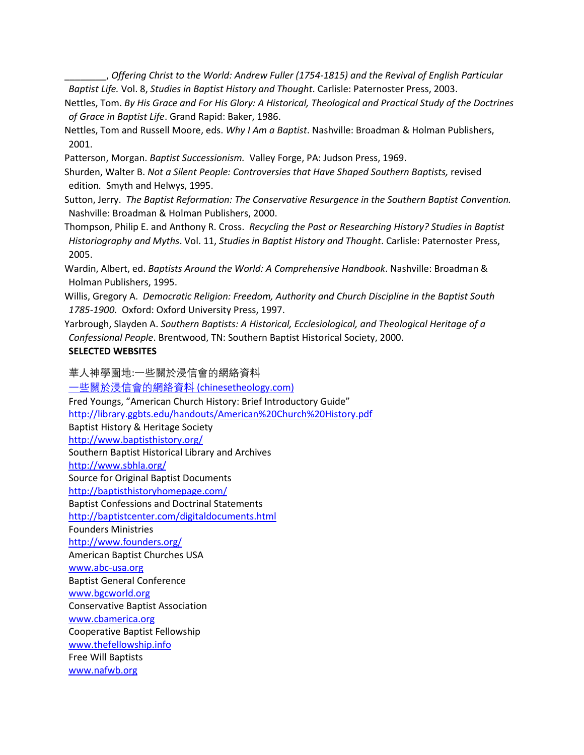\_\_\_\_\_\_\_\_, *Offering Christ to the World: Andrew Fuller (1754-1815) and the Revival of English Particular Baptist Life.* Vol. 8, *Studies in Baptist History and Thought*. Carlisle: Paternoster Press, 2003.

Nettles, Tom. *By His Grace and For His Glory: A Historical, Theological and Practical Study of the Doctrines of Grace in Baptist Life*. Grand Rapid: Baker, 1986.

Nettles, Tom and Russell Moore, eds. *Why I Am a Baptist*. Nashville: Broadman & Holman Publishers, 2001.

Patterson, Morgan. *Baptist Successionism.* Valley Forge, PA: Judson Press, 1969.

Shurden, Walter B. *Not a Silent People: Controversies that Have Shaped Southern Baptists,* revised edition*.* Smyth and Helwys, 1995.

Sutton, Jerry. *The Baptist Reformation: The Conservative Resurgence in the Southern Baptist Convention.*  Nashville: Broadman & Holman Publishers, 2000.

Thompson, Philip E. and Anthony R. Cross. *Recycling the Past or Researching History? Studies in Baptist Historiography and Myths*. Vol. 11, *Studies in Baptist History and Thought*. Carlisle: Paternoster Press, 2005.

Wardin, Albert, ed. *Baptists Around the World: A Comprehensive Handbook*. Nashville: Broadman & Holman Publishers, 1995.

Willis, Gregory A. *Democratic Religion: Freedom, Authority and Church Discipline in the Baptist South 1785-1900.* Oxford: Oxford University Press, 1997.

Yarbrough, Slayden A. *Southern Baptists: A Historical, Ecclesiological, and Theological Heritage of a Confessional People*. Brentwood, TN: Southern Baptist Historical Society, 2000. **SELECTED WEBSITES**

華人神學園地:一些關於浸信會的網絡資料

[一些關於浸信會的網絡資料](http://www.chinesetheology.com/BaptistLinks.htm) [\(chinesetheology.com\)](http://www.chinesetheology.com/BaptistLinks.htm) Fred Youngs, "American Church History: Brief Introductory Guide" <http://library.ggbts.edu/handouts/American%20Church%20History.pdf> Baptist History & Heritage Society

<http://www.baptisthistory.org/>

Southern Baptist Historical Library and Archives

<http://www.sbhla.org/>

Source for Original Baptist Documents

<http://baptisthistoryhomepage.com/>

Baptist Confessions and Doctrinal Statements

<http://baptistcenter.com/digitaldocuments.html>

Founders Ministries

<http://www.founders.org/>

American Baptist Churches USA

[www.abc-usa.org](http://www.abc-usa.org/)

Baptist General Conference

[www.bgcworld.org](http://www.bgcworld.org/)

Conservative Baptist Association [www.cbamerica.org](http://www.cbamerica.org/)

Cooperative Baptist Fellowship

[www.thefellowship.info](http://www.thefellowship.info/)

Free Will Baptists

[www.nafwb.org](http://www.nafwb.org/)